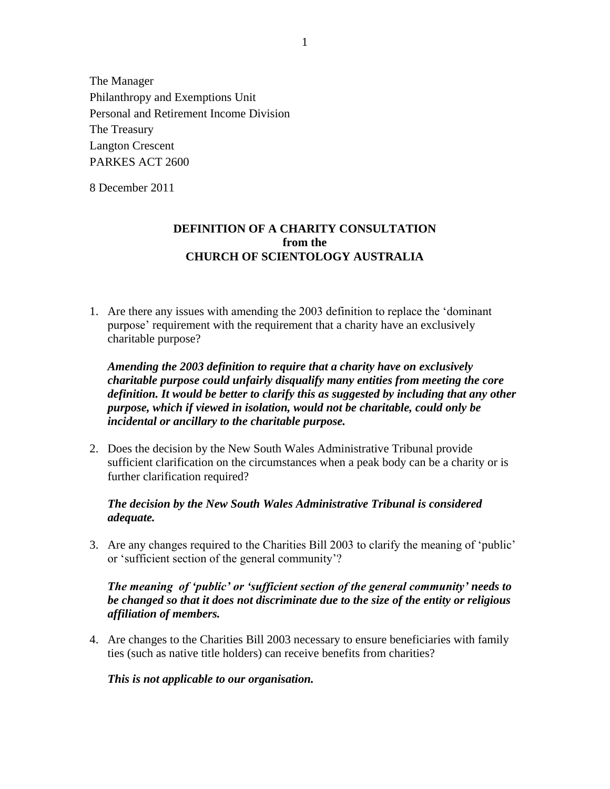The Manager Philanthropy and Exemptions Unit Personal and Retirement Income Division The Treasury Langton Crescent PARKES ACT 2600

8 December 2011

## **DEFINITION OF A CHARITY CONSULTATION from the CHURCH OF SCIENTOLOGY AUSTRALIA**

1. Are there any issues with amending the 2003 definition to replace the 'dominant purpose' requirement with the requirement that a charity have an exclusively charitable purpose?

*Amending the 2003 definition to require that a charity have on exclusively charitable purpose could unfairly disqualify many entities from meeting the core definition. It would be better to clarify this as suggested by including that any other purpose, which if viewed in isolation, would not be charitable, could only be incidental or ancillary to the charitable purpose.*

2. Does the decision by the New South Wales Administrative Tribunal provide sufficient clarification on the circumstances when a peak body can be a charity or is further clarification required?

#### *The decision by the New South Wales Administrative Tribunal is considered adequate.*

3. Are any changes required to the Charities Bill 2003 to clarify the meaning of 'public' or 'sufficient section of the general community'?

## *The meaning of 'public' or 'sufficient section of the general community' needs to be changed so that it does not discriminate due to the size of the entity or religious affiliation of members.*

4. Are changes to the Charities Bill 2003 necessary to ensure beneficiaries with family ties (such as native title holders) can receive benefits from charities?

#### *This is not applicable to our organisation.*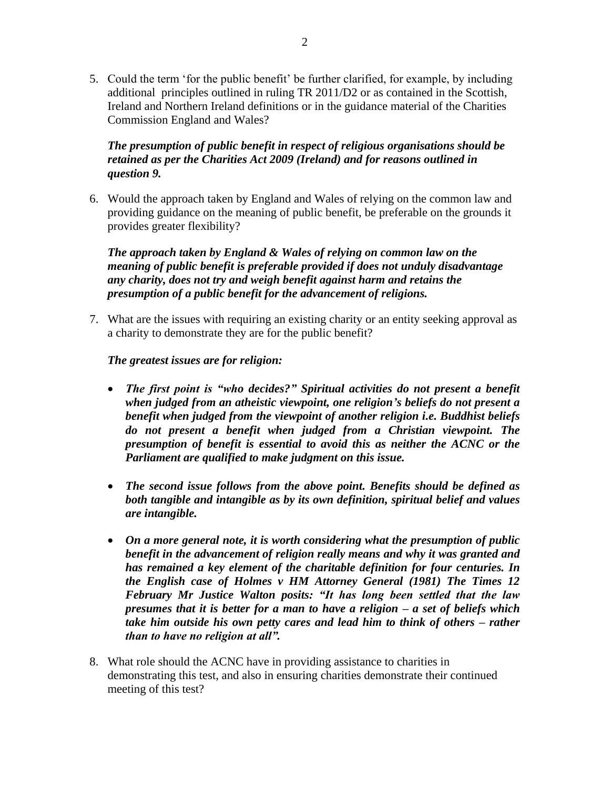5. Could the term 'for the public benefit' be further clarified, for example, by including additional principles outlined in ruling TR 2011/D2 or as contained in the Scottish, Ireland and Northern Ireland definitions or in the guidance material of the Charities Commission England and Wales?

## *The presumption of public benefit in respect of religious organisations should be retained as per the Charities Act 2009 (Ireland) and for reasons outlined in question 9.*

6. Would the approach taken by England and Wales of relying on the common law and providing guidance on the meaning of public benefit, be preferable on the grounds it provides greater flexibility?

*The approach taken by England & Wales of relying on common law on the meaning of public benefit is preferable provided if does not unduly disadvantage any charity, does not try and weigh benefit against harm and retains the presumption of a public benefit for the advancement of religions.*

7. What are the issues with requiring an existing charity or an entity seeking approval as a charity to demonstrate they are for the public benefit?

## *The greatest issues are for religion:*

- *The first point is "who decides?" Spiritual activities do not present a benefit when judged from an atheistic viewpoint, one religion's beliefs do not present a benefit when judged from the viewpoint of another religion i.e. Buddhist beliefs do not present a benefit when judged from a Christian viewpoint. The presumption of benefit is essential to avoid this as neither the ACNC or the Parliament are qualified to make judgment on this issue.*
- *The second issue follows from the above point. Benefits should be defined as both tangible and intangible as by its own definition, spiritual belief and values are intangible.*
- *On a more general note, it is worth considering what the presumption of public benefit in the advancement of religion really means and why it was granted and has remained a key element of the charitable definition for four centuries. In the English case of Holmes v HM Attorney General (1981) The Times 12 February Mr Justice Walton posits: "It has long been settled that the law presumes that it is better for a man to have a religion – a set of beliefs which take him outside his own petty cares and lead him to think of others – rather than to have no religion at all".*
- 8. What role should the ACNC have in providing assistance to charities in demonstrating this test, and also in ensuring charities demonstrate their continued meeting of this test?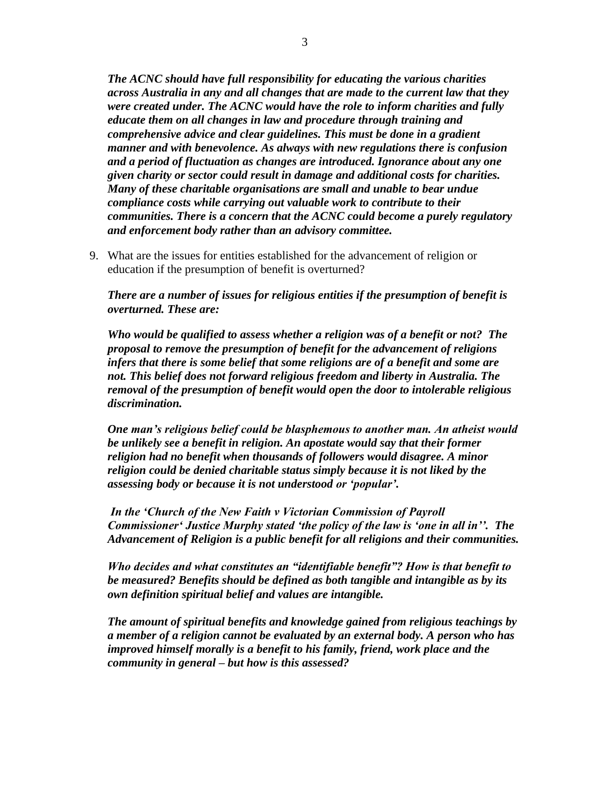*The ACNC should have full responsibility for educating the various charities across Australia in any and all changes that are made to the current law that they were created under. The ACNC would have the role to inform charities and fully educate them on all changes in law and procedure through training and comprehensive advice and clear guidelines. This must be done in a gradient manner and with benevolence. As always with new regulations there is confusion and a period of fluctuation as changes are introduced. Ignorance about any one given charity or sector could result in damage and additional costs for charities. Many of these charitable organisations are small and unable to bear undue compliance costs while carrying out valuable work to contribute to their communities. There is a concern that the ACNC could become a purely regulatory and enforcement body rather than an advisory committee.* 

9. What are the issues for entities established for the advancement of religion or education if the presumption of benefit is overturned?

*There are a number of issues for religious entities if the presumption of benefit is overturned. These are:* 

*Who would be qualified to assess whether a religion was of a benefit or not? The proposal to remove the presumption of benefit for the advancement of religions infers that there is some belief that some religions are of a benefit and some are not. This belief does not forward religious freedom and liberty in Australia. The removal of the presumption of benefit would open the door to intolerable religious discrimination.*

*One man's religious belief could be blasphemous to another man. An atheist would be unlikely see a benefit in religion. An apostate would say that their former religion had no benefit when thousands of followers would disagree. A minor religion could be denied charitable status simply because it is not liked by the assessing body or because it is not understood or 'popular'.*

*In the 'Church of the New Faith v Victorian Commission of Payroll Commissioner' Justice Murphy stated 'the policy of the law is 'one in all in''. The Advancement of Religion is a public benefit for all religions and their communities.*

*Who decides and what constitutes an "identifiable benefit"? How is that benefit to be measured? Benefits should be defined as both tangible and intangible as by its own definition spiritual belief and values are intangible.*

*The amount of spiritual benefits and knowledge gained from religious teachings by a member of a religion cannot be evaluated by an external body. A person who has improved himself morally is a benefit to his family, friend, work place and the community in general – but how is this assessed?*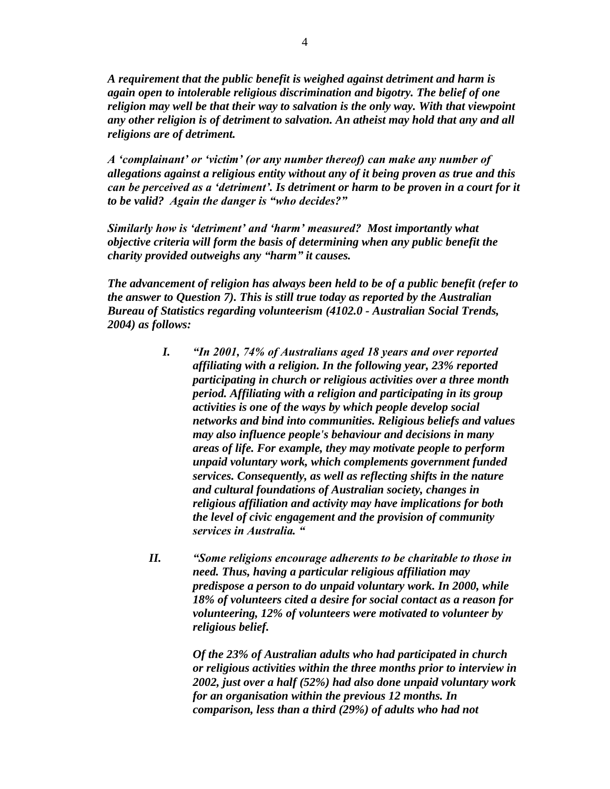*A requirement that the public benefit is weighed against detriment and harm is again open to intolerable religious discrimination and bigotry. The belief of one religion may well be that their way to salvation is the only way. With that viewpoint any other religion is of detriment to salvation. An atheist may hold that any and all religions are of detriment.* 

*A 'complainant' or 'victim' (or any number thereof) can make any number of allegations against a religious entity without any of it being proven as true and this can be perceived as a 'detriment'. Is detriment or harm to be proven in a court for it to be valid? Again the danger is "who decides?"*

*Similarly how is 'detriment' and 'harm' measured? Most importantly what objective criteria will form the basis of determining when any public benefit the charity provided outweighs any "harm" it causes.*

*The advancement of religion has always been held to be of a public benefit (refer to the answer to Question 7). This is still true today as reported by the Australian Bureau of Statistics regarding volunteerism (4102.0 - Australian Social Trends, 2004) as follows:* 

- *I. "In 2001, 74% of Australians aged 18 years and over reported affiliating with a religion. In the following year, 23% reported participating in church or religious activities over a three month period. Affiliating with a religion and participating in its group activities is one of the ways by which people develop social networks and bind into communities. Religious beliefs and values may also influence people's behaviour and decisions in many areas of life. For example, they may motivate people to perform unpaid voluntary work, which complements government funded services. Consequently, as well as reflecting shifts in the nature and cultural foundations of Australian society, changes in religious affiliation and activity may have implications for both the level of civic engagement and the provision of community services in Australia. "*
- *II. "Some religions encourage adherents to be charitable to those in need. Thus, having a particular religious affiliation may predispose a person to do unpaid voluntary work. In 2000, while 18% of volunteers cited a desire for social contact as a reason for volunteering, 12% of volunteers were motivated to volunteer by religious belief.*

*Of the 23% of Australian adults who had participated in church or religious activities within the three months prior to interview in 2002, just over a half (52%) had also done unpaid voluntary work for an organisation within the previous 12 months. In comparison, less than a third (29%) of adults who had not*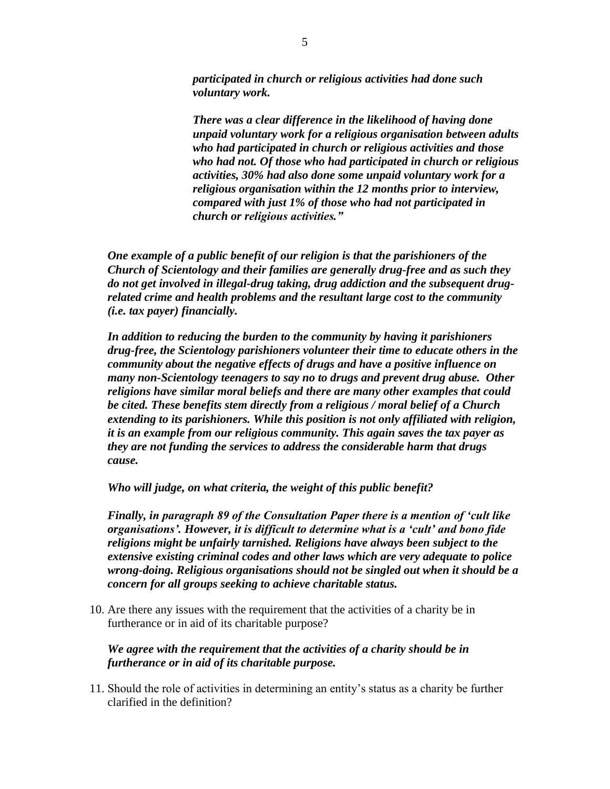*participated in church or religious activities had done such voluntary work.*

*There was a clear difference in the likelihood of having done unpaid voluntary work for a religious organisation between adults who had participated in church or religious activities and those who had not. Of those who had participated in church or religious activities, 30% had also done some unpaid voluntary work for a religious organisation within the 12 months prior to interview, compared with just 1% of those who had not participated in church or religious activities."*

*One example of a public benefit of our religion is that the parishioners of the Church of Scientology and their families are generally drug-free and as such they do not get involved in illegal-drug taking, drug addiction and the subsequent drugrelated crime and health problems and the resultant large cost to the community (i.e. tax payer) financially.* 

*In addition to reducing the burden to the community by having it parishioners drug-free, the Scientology parishioners volunteer their time to educate others in the community about the negative effects of drugs and have a positive influence on many non-Scientology teenagers to say no to drugs and prevent drug abuse. Other religions have similar moral beliefs and there are many other examples that could be cited. These benefits stem directly from a religious / moral belief of a Church extending to its parishioners. While this position is not only affiliated with religion, it is an example from our religious community. This again saves the tax payer as they are not funding the services to address the considerable harm that drugs cause.*

*Who will judge, on what criteria, the weight of this public benefit?*

*Finally, in paragraph 89 of the Consultation Paper there is a mention of 'cult like organisations'. However, it is difficult to determine what is a 'cult' and bono fide religions might be unfairly tarnished. Religions have always been subject to the extensive existing criminal codes and other laws which are very adequate to police wrong-doing. Religious organisations should not be singled out when it should be a concern for all groups seeking to achieve charitable status.*

10. Are there any issues with the requirement that the activities of a charity be in furtherance or in aid of its charitable purpose?

*We agree with the requirement that the activities of a charity should be in furtherance or in aid of its charitable purpose.*

11. Should the role of activities in determining an entity's status as a charity be further clarified in the definition?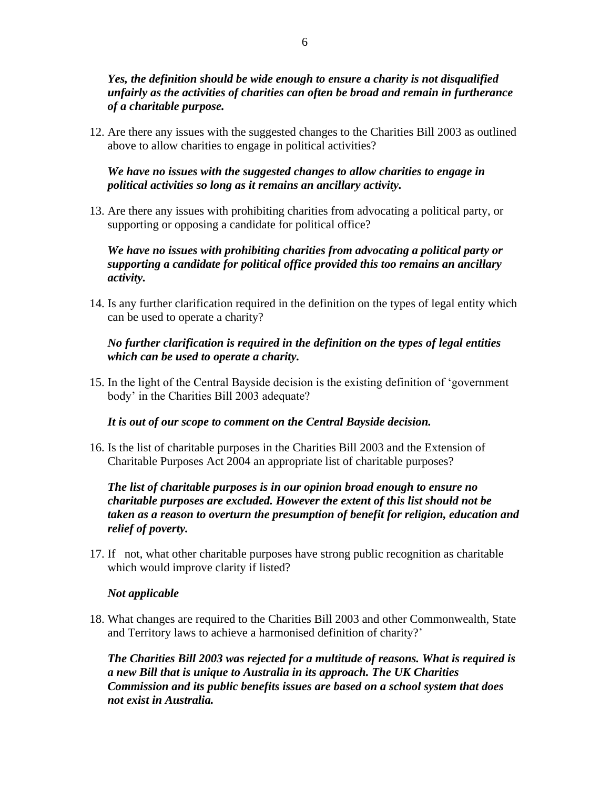## *Yes, the definition should be wide enough to ensure a charity is not disqualified unfairly as the activities of charities can often be broad and remain in furtherance of a charitable purpose.*

12. Are there any issues with the suggested changes to the Charities Bill 2003 as outlined above to allow charities to engage in political activities?

## *We have no issues with the suggested changes to allow charities to engage in political activities so long as it remains an ancillary activity.*

13. Are there any issues with prohibiting charities from advocating a political party, or supporting or opposing a candidate for political office?

### *We have no issues with prohibiting charities from advocating a political party or supporting a candidate for political office provided this too remains an ancillary activity.*

14. Is any further clarification required in the definition on the types of legal entity which can be used to operate a charity?

# *No further clarification is required in the definition on the types of legal entities which can be used to operate a charity.*

15. In the light of the Central Bayside decision is the existing definition of 'government body' in the Charities Bill 2003 adequate?

# *It is out of our scope to comment on the Central Bayside decision.*

16. Is the list of charitable purposes in the Charities Bill 2003 and the Extension of Charitable Purposes Act 2004 an appropriate list of charitable purposes?

## *The list of charitable purposes is in our opinion broad enough to ensure no charitable purposes are excluded. However the extent of this list should not be taken as a reason to overturn the presumption of benefit for religion, education and relief of poverty.*

17. If not, what other charitable purposes have strong public recognition as charitable which would improve clarity if listed?

#### *Not applicable*

18. What changes are required to the Charities Bill 2003 and other Commonwealth, State and Territory laws to achieve a harmonised definition of charity?'

*The Charities Bill 2003 was rejected for a multitude of reasons. What is required is a new Bill that is unique to Australia in its approach. The UK Charities Commission and its public benefits issues are based on a school system that does not exist in Australia.*